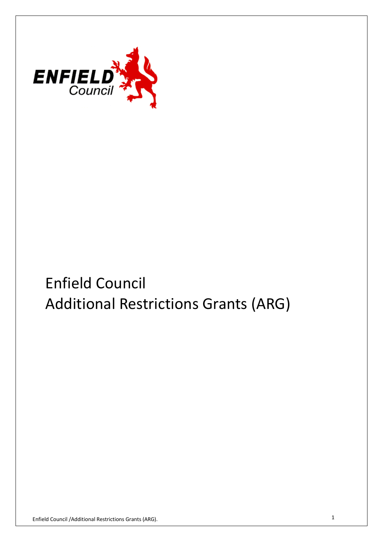

# Enfield Council Additional Restrictions Grants (ARG)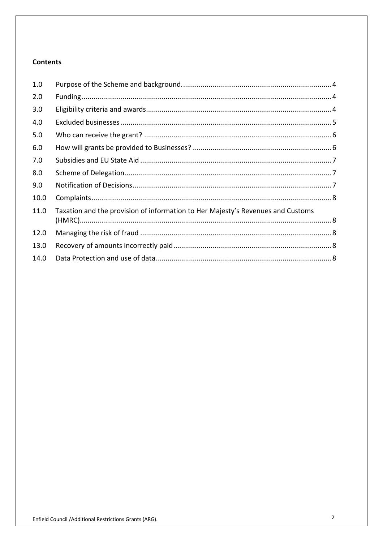#### **Contents**

| 1.0  |                                                                                 |  |
|------|---------------------------------------------------------------------------------|--|
| 2.0  |                                                                                 |  |
| 3.0  |                                                                                 |  |
| 4.0  |                                                                                 |  |
| 5.0  |                                                                                 |  |
| 6.0  |                                                                                 |  |
| 7.0  |                                                                                 |  |
| 8.0  |                                                                                 |  |
| 9.0  |                                                                                 |  |
| 10.0 |                                                                                 |  |
| 11.0 | Taxation and the provision of information to Her Majesty's Revenues and Customs |  |
|      |                                                                                 |  |
| 12.0 |                                                                                 |  |
| 13.0 |                                                                                 |  |
| 14.0 |                                                                                 |  |
|      |                                                                                 |  |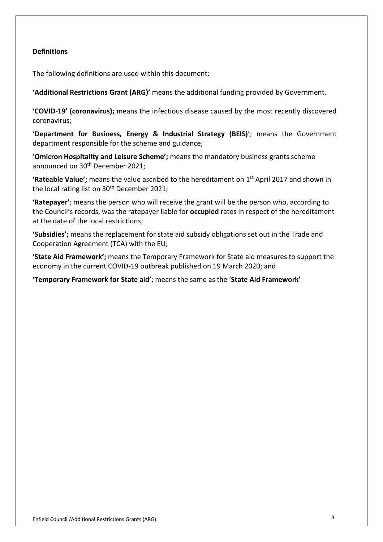#### **Definitions**

The following definitions are used within this document:

 **'Additional Restrictions Grant (ARG)'** means the additional funding provided by Government.

 **'COVID-19' (coronavirus);** means the infectious disease caused by the most recently discovered coronavirus;

 **'Department for Business, Energy & Industrial Strategy (BEIS)**'; means the Government department responsible for the scheme and guidance;

 '**Omicron Hospitality and Leisure Scheme';** means the mandatory business grants scheme announced on 30<sup>th</sup> December 2021;

 **'Rateable Value';** means the value ascribed to the hereditament on 1st April 2017 and shown in the local rating list on 30<sup>th</sup> December 2021;

 **'Ratepayer'**; means the person who will receive the grant will be the person who, according to the Council's records, was the ratepayer liable for **occupied** rates in respect of the hereditament at the date of the local restrictions;

 **'Subsidies';** means the replacement for state aid subsidy obligations set out in the Trade and Cooperation Agreement (TCA) with the EU;

 **'State Aid Framework';** means the Temporary Framework for State aid measures to support the economy in the current COVID-19 outbreak published on 19 March 2020; and

 **'Temporary Framework for State aid'**; means the same as the '**State Aid Framework'**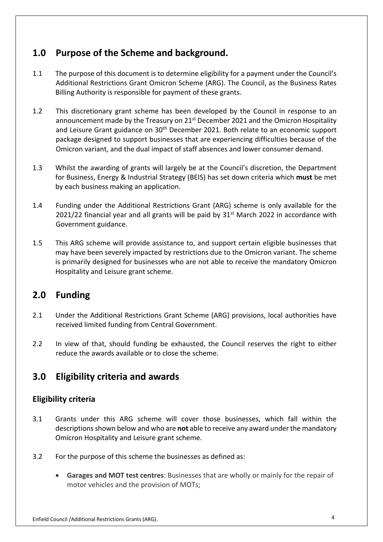## **1.0 Purpose of the Scheme and background.**

- $1.1$  Additional Restrictions Grant Omicron Scheme (ARG). The Council, as the Business Rates Billing Authority is responsible for payment of these grants. The purpose of this document is to determine eligibility for a payment under the Council's
- $1.2$ announcement made by the Treasury on 21<sup>st</sup> December 2021 and the Omicron Hospitality and Leisure Grant guidance on 30<sup>th</sup> December 2021. Both relate to an economic support package designed to support businesses that are experiencing difficulties because of the Omicron variant, and the dual impact of staff absences and lower consumer demand. This discretionary grant scheme has been developed by the Council in response to an
- 1.3 Whilst the awarding of grants will largely be at the Council's discretion, the Department for Business, Energy & Industrial Strategy (BEIS) has set down criteria which **must** be met by each business making an application.
- 1.4 Funding under the Additional Restrictions Grant (ARG) scheme is only available for the  $2021/22$  financial year and all grants will be paid by  $31<sup>st</sup>$  March 2022 in accordance with Government guidance.
- 1.5 This ARG scheme will provide assistance to, and support certain eligible businesses that may have been severely impacted by restrictions due to the Omicron variant. The scheme is primarily designed for businesses who are not able to receive the mandatory Omicron Hospitality and Leisure grant scheme.

# **2.0 Funding**

- 2.1 Under the Additional Restrictions Grant Scheme (ARG) provisions, local authorities have received limited funding from Central Government.
- $22$  reduce the awards available or to close the scheme. In view of that, should funding be exhausted, the Council reserves the right to either

# **3.0 Eligibility criteria and awards**

#### **Eligibility criteria**

- $3.1$  descriptions shown below and who are **not** able to receive any award under the mandatory Omicron Hospitality and Leisure grant scheme. Grants under this ARG scheme will cover those businesses, which fall within the
- $3.2$ For the purpose of this scheme the businesses as defined as:
	- **Garages and MOT test centres**: Businesses that are wholly or mainly for the repair of motor vehicles and the provision of MOTs;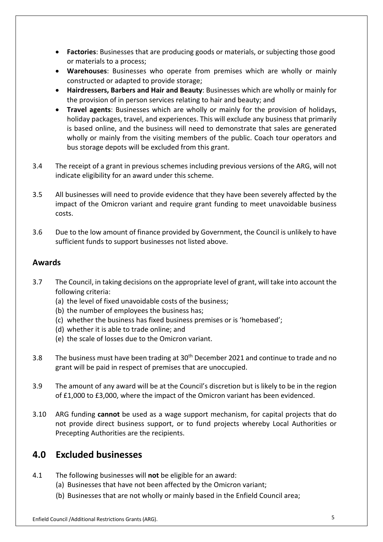- • **Factories**: Businesses that are producing goods or materials, or subjecting those good or materials to a process;
- • **Warehouses**: Businesses who operate from premises which are wholly or mainly constructed or adapted to provide storage;
- • **Hairdressers, Barbers and Hair and Beauty**: Businesses which are wholly or mainly for the provision of in person services relating to hair and beauty; and
- • **Travel agents**: Businesses which are wholly or mainly for the provision of holidays, holiday packages, travel, and experiences. This will exclude any business that primarily is based online, and the business will need to demonstrate that sales are generated wholly or mainly from the visiting members of the public. Coach tour operators and bus storage depots will be excluded from this grant.
- $3.4$  indicate eligibility for an award under this scheme. The receipt of a grant in previous schemes including previous versions of the ARG, will not
- $3.5$  impact of the Omicron variant and require grant funding to meet unavoidable business All businesses will need to provide evidence that they have been severely affected by the costs.
- $3.6$  sufficient funds to support businesses not listed above. Due to the low amount of finance provided by Government, the Council is unlikely to have

#### **Awards**

- 3.7 The Council, in taking decisions on the appropriate level of grant, will take into account the following criteria:
	- (a) the level of fixed unavoidable costs of the business;
	- (b) the number of employees the business has;
	- (c) whether the business has fixed business premises or is 'homebased';
	- (d) whether it is able to trade online; and
	- (e) the scale of losses due to the Omicron variant.
- $3.8$  grant will be paid in respect of premises that are unoccupied. The business must have been trading at 30<sup>th</sup> December 2021 and continue to trade and no
- 3.9 The amount of any award will be at the Council's discretion but is likely to be in the region of £1,000 to £3,000, where the impact of the Omicron variant has been evidenced.
- $3.10$  not provide direct business support, or to fund projects whereby Local Authorities or Precepting Authorities are the recipients. 3.10 ARG funding **cannot** be used as a wage support mechanism, for capital projects that do

#### **4.0 Excluded businesses**

- 4.1 The following businesses will **not** be eligible for an award:
	- (a) Businesses that have not been affected by the Omicron variant;
	- (b) Businesses that are not wholly or mainly based in the Enfield Council area;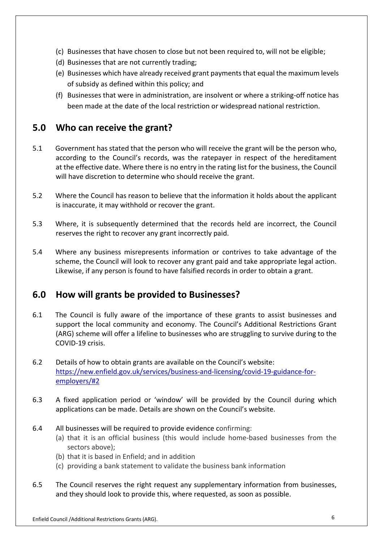- (c) Businesses that have chosen to close but not been required to, will not be eligible;
- (d) Businesses that are not currently trading;
- (e) Businesses which have already received grant payments that equal the maximum levels of subsidy as defined within this policy; and
- (f) Businesses that were in administration, are insolvent or where a striking-off notice has been made at the date of the local restriction or widespread national restriction.

## **5.0 Who can receive the grant?**

- 5.1 Government has stated that the person who will receive the grant will be the person who, according to the Council's records, was the ratepayer in respect of the hereditament at the effective date. Where there is no entry in the rating list for the business, the Council will have discretion to determine who should receive the grant.
- 52 is inaccurate, it may withhold or recover the grant. Where the Council has reason to believe that the information it holds about the applicant
- $5.3$  reserves the right to recover any grant incorrectly paid. 5.3 Where, it is subsequently determined that the records held are incorrect, the Council
- $5.4$  scheme, the Council will look to recover any grant paid and take appropriate legal action. Likewise, if any person is found to have falsified records in order to obtain a grant. 5.4 Where any business misrepresents information or contrives to take advantage of the

## **6.0 How will grants be provided to Businesses?**

- $6.1$  support the local community and economy. The Council's Additional Restrictions Grant (ARG) scheme will offer a lifeline to businesses who are struggling to survive during to the The Council is fully aware of the importance of these grants to assist businesses and COVID-19 crisis.
- $6.2$ Details of how to obtain grants are available on the Council's website: <https://new.enfield.gov.uk/services/business-and-licensing/covid-19-guidance-for>employers/#2
- $6.3$  applications can be made. Details are shown on the Council's website. A fixed application period or 'window' will be provided by the Council during which
- $6.4$ All businesses will be required to provide evidence confirming:
	- (a) that it is an official business (this would include home-based businesses from the sectors above);
	- (b) that it is based in Enfield; and in addition
	- (c) providing a bank statement to validate the business bank information
- $6.5$  and they should look to provide this, where requested, as soon as possible. The Council reserves the right request any supplementary information from businesses,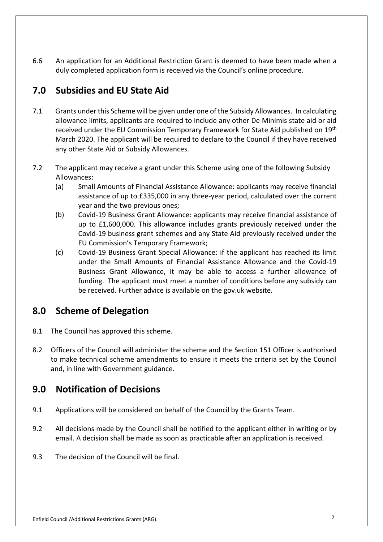6.6 duly completed application form is received via the Council's online procedure. 6.6 An application for an Additional Restriction Grant is deemed to have been made when a

# **7.0 Subsidies and EU State Aid**

- $7.1$  allowance limits, applicants are required to include any other De Minimis state aid or aid received under the EU Commission Temporary Framework for State Aid published on 19<sup>th</sup> March 2020. The applicant will be required to declare to the Council if they have received any other State Aid or Subsidy Allowances. 7.1 Grants under this Scheme will be given under one of the Subsidy Allowances. In calculating
- $7.2$  Allowances: The applicant may receive a grant under this Scheme using one of the following Subsidy
	- (a) Small Amounts of Financial Assistance Allowance: applicants may receive financial assistance of up to £335,000 in any three-year period, calculated over the current year and the two previous ones;
	- (b) Covid-19 Business Grant Allowance: applicants may receive financial assistance of up to £1,600,000. This allowance includes grants previously received under the Covid-19 business grant schemes and any State Aid previously received under the EU Commission's Temporary Framework;
	- (c) Covid-19 Business Grant Special Allowance: if the applicant has reached its limit under the Small Amounts of Financial Assistance Allowance and the Covid-19 Business Grant Allowance, it may be able to access a further allowance of funding. The applicant must meet a number of conditions before any subsidy can be received. Further advice is available on the gov.uk website.

## **8.0 Scheme of Delegation**

- 8.1 The Council has approved this scheme.
- $82$  to make technical scheme amendments to ensure it meets the criteria set by the Council and, in line with Government guidance. 8.2 Officers of the Council will administer the scheme and the Section 151 Officer is authorised

## **9.0 Notification of Decisions**

- 9.1 Applications will be considered on behalf of the Council by the Grants Team.
- $9.2$  email. A decision shall be made as soon as practicable after an application is received. All decisions made by the Council shall be notified to the applicant either in writing or by
- 9.3 The decision of the Council will be final.